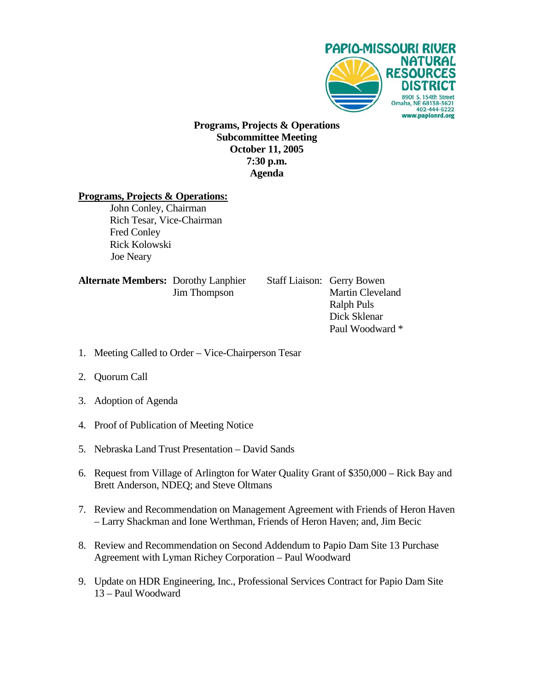

**Programs, Projects & Operations Subcommittee Meeting October 11, 2005 7:30 p.m. Agenda** 

#### **Programs, Projects & Operations:**

 John Conley, Chairman Rich Tesar, Vice-Chairman Fred Conley Rick Kolowski Joe Neary

| <b>Alternate Members: Dorothy Lanphier</b> |                     |
|--------------------------------------------|---------------------|
|                                            | <b>Jim Thompson</b> |

**Staff Liaison: Gerry Bowen** Martin Cleveland Ralph Puls Dick Sklenar Paul Woodward \*

- 1. Meeting Called to Order Vice-Chairperson Tesar
- 2. Quorum Call
- 3. Adoption of Agenda
- 4. Proof of Publication of Meeting Notice
- 5. Nebraska Land Trust Presentation David Sands
- 6. Request from Village of Arlington for Water Quality Grant of \$350,000 Rick Bay and Brett Anderson, NDEQ; and Steve Oltmans
- 7. Review and Recommendation on Management Agreement with Friends of Heron Haven – Larry Shackman and Ione Werthman, Friends of Heron Haven; and, Jim Becic
- 8. Review and Recommendation on Second Addendum to Papio Dam Site 13 Purchase Agreement with Lyman Richey Corporation – Paul Woodward
- 9. Update on HDR Engineering, Inc., Professional Services Contract for Papio Dam Site 13 – Paul Woodward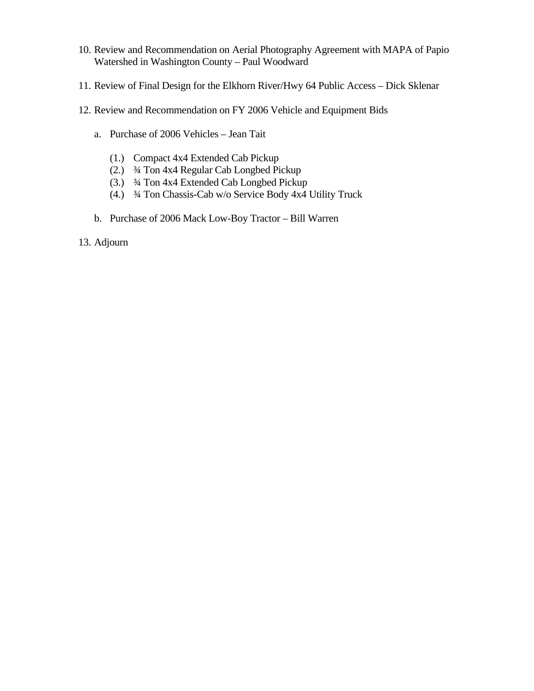- 10. Review and Recommendation on Aerial Photography Agreement with MAPA of Papio Watershed in Washington County – Paul Woodward
- 11. Review of Final Design for the Elkhorn River/Hwy 64 Public Access Dick Sklenar
- 12. Review and Recommendation on FY 2006 Vehicle and Equipment Bids
	- a. Purchase of 2006 Vehicles Jean Tait
		- (1.) Compact 4x4 Extended Cab Pickup
		- (2.) ¾ Ton 4x4 Regular Cab Longbed Pickup
		- (3.) ¾ Ton 4x4 Extended Cab Longbed Pickup
		- (4.) ¾ Ton Chassis-Cab w/o Service Body 4x4 Utility Truck
	- b. Purchase of 2006 Mack Low-Boy Tractor Bill Warren
- 13. Adjourn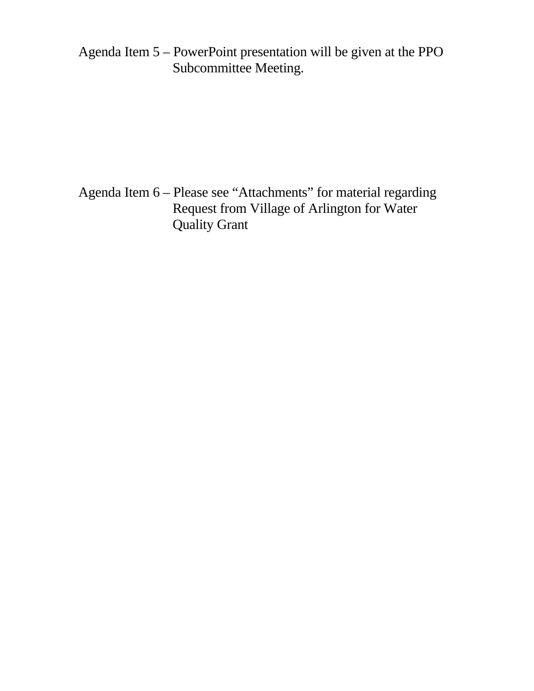Agenda Item 5 – PowerPoint presentation will be given at the PPO Subcommittee Meeting.

Agenda Item 6 – Please see "Attachments" for material regarding Request from Village of Arlington for Water Quality Grant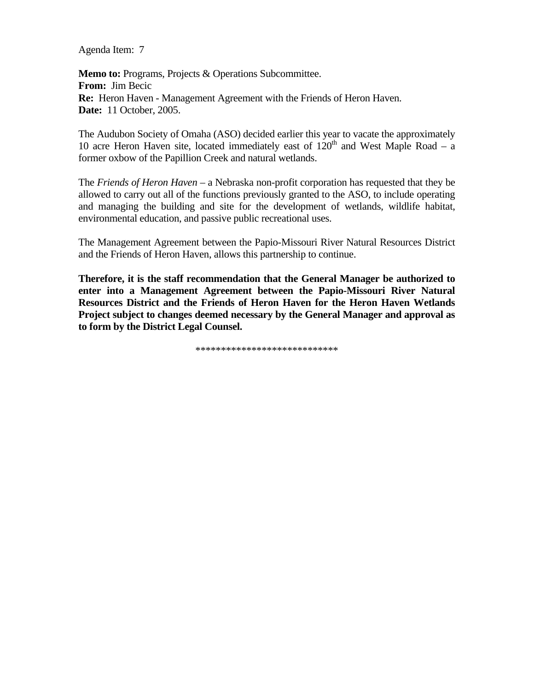Agenda Item: 7

**Memo to:** Programs, Projects & Operations Subcommittee. **From:** Jim Becic **Re:** Heron Haven - Management Agreement with the Friends of Heron Haven. **Date:** 11 October, 2005.

The Audubon Society of Omaha (ASO) decided earlier this year to vacate the approximately 10 acre Heron Haven site, located immediately east of  $120<sup>th</sup>$  and West Maple Road – a former oxbow of the Papillion Creek and natural wetlands.

The *Friends of Heron Haven* – a Nebraska non-profit corporation has requested that they be allowed to carry out all of the functions previously granted to the ASO, to include operating and managing the building and site for the development of wetlands, wildlife habitat, environmental education, and passive public recreational uses.

The Management Agreement between the Papio-Missouri River Natural Resources District and the Friends of Heron Haven, allows this partnership to continue.

**Therefore, it is the staff recommendation that the General Manager be authorized to enter into a Management Agreement between the Papio-Missouri River Natural Resources District and the Friends of Heron Haven for the Heron Haven Wetlands Project subject to changes deemed necessary by the General Manager and approval as to form by the District Legal Counsel.** 

\*\*\*\*\*\*\*\*\*\*\*\*\*\*\*\*\*\*\*\*\*\*\*\*\*\*\*\*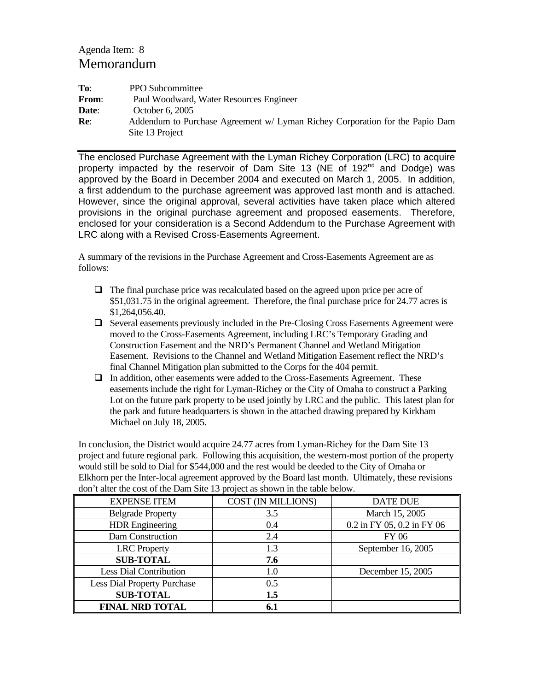#### Agenda Item: 8 Memorandum

| To:          | <b>PPO</b> Subcommittee                                                      |
|--------------|------------------------------------------------------------------------------|
| <b>From:</b> | Paul Woodward, Water Resources Engineer                                      |
| Date:        | October 6, 2005                                                              |
| Re:          | Addendum to Purchase Agreement w/ Lyman Richey Corporation for the Papio Dam |
|              | Site 13 Project                                                              |

The enclosed Purchase Agreement with the Lyman Richey Corporation (LRC) to acquire property impacted by the reservoir of Dam Site 13 (NE of 192<sup>nd</sup> and Dodge) was approved by the Board in December 2004 and executed on March 1, 2005. In addition, a first addendum to the purchase agreement was approved last month and is attached. However, since the original approval, several activities have taken place which altered provisions in the original purchase agreement and proposed easements. Therefore, enclosed for your consideration is a Second Addendum to the Purchase Agreement with LRC along with a Revised Cross-Easements Agreement.

A summary of the revisions in the Purchase Agreement and Cross-Easements Agreement are as follows:

- $\Box$  The final purchase price was recalculated based on the agreed upon price per acre of \$51,031.75 in the original agreement. Therefore, the final purchase price for 24.77 acres is \$1,264,056.40.
- Several easements previously included in the Pre-Closing Cross Easements Agreement were moved to the Cross-Easements Agreement, including LRC's Temporary Grading and Construction Easement and the NRD's Permanent Channel and Wetland Mitigation Easement. Revisions to the Channel and Wetland Mitigation Easement reflect the NRD's final Channel Mitigation plan submitted to the Corps for the 404 permit.
- $\Box$  In addition, other easements were added to the Cross-Easements Agreement. These easements include the right for Lyman-Richey or the City of Omaha to construct a Parking Lot on the future park property to be used jointly by LRC and the public. This latest plan for the park and future headquarters is shown in the attached drawing prepared by Kirkham Michael on July 18, 2005.

In conclusion, the District would acquire 24.77 acres from Lyman-Richey for the Dam Site 13 project and future regional park. Following this acquisition, the western-most portion of the property would still be sold to Dial for \$544,000 and the rest would be deeded to the City of Omaha or Elkhorn per the Inter-local agreement approved by the Board last month. Ultimately, these revisions don't alter the cost of the Dam Site 13 project as shown in the table below.

| <b>EXPENSE ITEM</b>                | COST (IN MILLIONS) | DATE DUE                   |
|------------------------------------|--------------------|----------------------------|
| <b>Belgrade Property</b>           | 3.5                | March 15, 2005             |
| <b>HDR</b> Engineering             | 0.4                | 0.2 in FY 05, 0.2 in FY 06 |
| Dam Construction                   | 2.4                | <b>FY 06</b>               |
| <b>LRC</b> Property                | 1.3                | September 16, 2005         |
| <b>SUB-TOTAL</b>                   | 7.6                |                            |
| <b>Less Dial Contribution</b>      | 1.0                | December 15, 2005          |
| <b>Less Dial Property Purchase</b> | 0.5                |                            |
| <b>SUB-TOTAL</b>                   | 1.5                |                            |
| <b>FINAL NRD TOTAL</b>             | 6.1                |                            |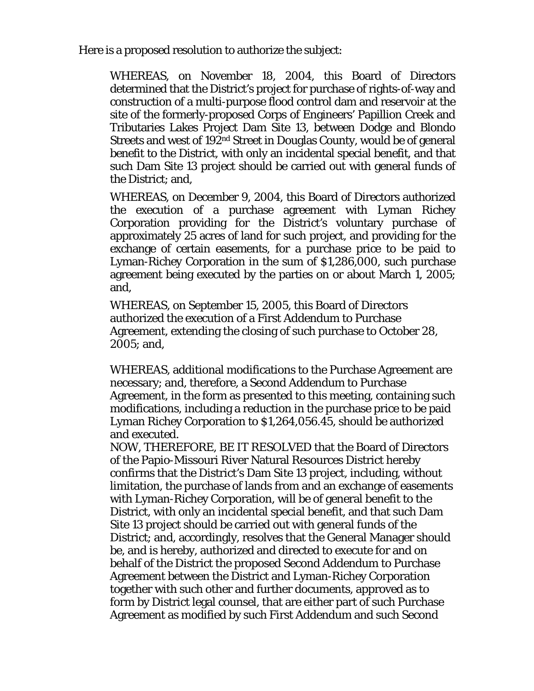Here is a proposed resolution to authorize the subject:

WHEREAS, on November 18, 2004, this Board of Directors determined that the District's project for purchase of rights-of-way and construction of a multi-purpose flood control dam and reservoir at the site of the formerly-proposed Corps of Engineers' Papillion Creek and Tributaries Lakes Project Dam Site 13, between Dodge and Blondo Streets and west of 192nd Street in Douglas County, would be of general benefit to the District, with only an incidental special benefit, and that such Dam Site 13 project should be carried out with general funds of the District; and,

WHEREAS, on December 9, 2004, this Board of Directors authorized the execution of a purchase agreement with Lyman Richey Corporation providing for the District's voluntary purchase of approximately 25 acres of land for such project, and providing for the exchange of certain easements, for a purchase price to be paid to Lyman-Richey Corporation in the sum of \$1,286,000, such purchase agreement being executed by the parties on or about March 1, 2005; and,

WHEREAS, on September 15, 2005, this Board of Directors authorized the execution of a First Addendum to Purchase Agreement, extending the closing of such purchase to October 28, 2005; and,

WHEREAS, additional modifications to the Purchase Agreement are necessary; and, therefore, a Second Addendum to Purchase Agreement, in the form as presented to this meeting, containing such modifications, including a reduction in the purchase price to be paid Lyman Richey Corporation to \$1,264,056.45, should be authorized and executed.

NOW, THEREFORE, BE IT RESOLVED that the Board of Directors of the Papio-Missouri River Natural Resources District hereby confirms that the District's Dam Site 13 project, including, without limitation, the purchase of lands from and an exchange of easements with Lyman-Richey Corporation, will be of general benefit to the District, with only an incidental special benefit, and that such Dam Site 13 project should be carried out with general funds of the District; and, accordingly, resolves that the General Manager should be, and is hereby, authorized and directed to execute for and on behalf of the District the proposed Second Addendum to Purchase Agreement between the District and Lyman-Richey Corporation together with such other and further documents, approved as to form by District legal counsel, that are either part of such Purchase Agreement as modified by such First Addendum and such Second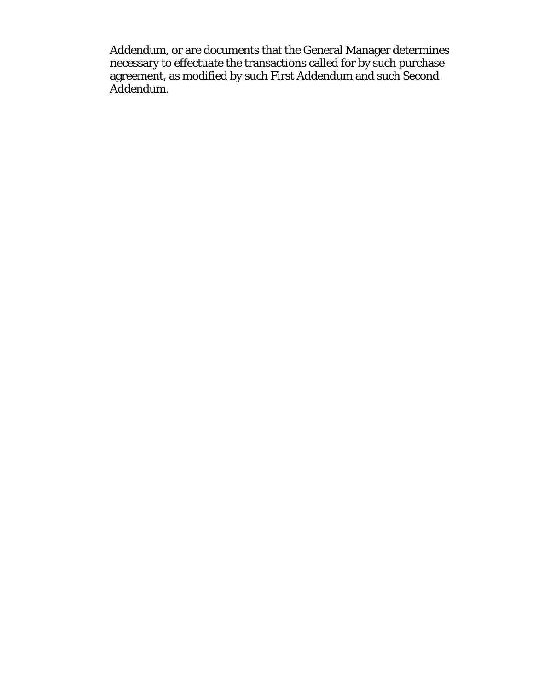Addendum, or are documents that the General Manager determines necessary to effectuate the transactions called for by such purchase agreement, as modified by such First Addendum and such Second Addendum.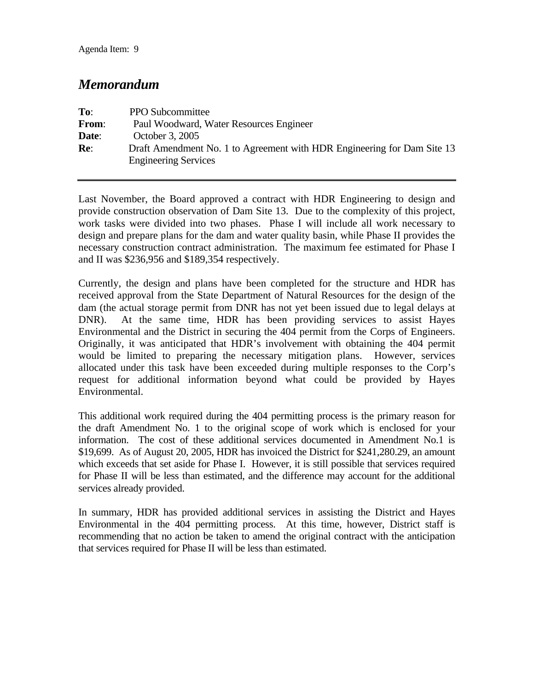#### *Memorandum*

| To:   | <b>PPO</b> Subcommittee                                                                                |
|-------|--------------------------------------------------------------------------------------------------------|
| From: | Paul Woodward, Water Resources Engineer                                                                |
| Date: | October 3, 2005                                                                                        |
| Re:   | Draft Amendment No. 1 to Agreement with HDR Engineering for Dam Site 13<br><b>Engineering Services</b> |

Last November, the Board approved a contract with HDR Engineering to design and provide construction observation of Dam Site 13. Due to the complexity of this project, work tasks were divided into two phases. Phase I will include all work necessary to design and prepare plans for the dam and water quality basin, while Phase II provides the necessary construction contract administration. The maximum fee estimated for Phase I and II was \$236,956 and \$189,354 respectively.

Currently, the design and plans have been completed for the structure and HDR has received approval from the State Department of Natural Resources for the design of the dam (the actual storage permit from DNR has not yet been issued due to legal delays at DNR). At the same time, HDR has been providing services to assist Hayes Environmental and the District in securing the 404 permit from the Corps of Engineers. Originally, it was anticipated that HDR's involvement with obtaining the 404 permit would be limited to preparing the necessary mitigation plans. However, services allocated under this task have been exceeded during multiple responses to the Corp's request for additional information beyond what could be provided by Hayes Environmental.

This additional work required during the 404 permitting process is the primary reason for the draft Amendment No. 1 to the original scope of work which is enclosed for your information. The cost of these additional services documented in Amendment No.1 is \$19,699. As of August 20, 2005, HDR has invoiced the District for \$241,280.29, an amount which exceeds that set aside for Phase I. However, it is still possible that services required for Phase II will be less than estimated, and the difference may account for the additional services already provided.

In summary, HDR has provided additional services in assisting the District and Hayes Environmental in the 404 permitting process. At this time, however, District staff is recommending that no action be taken to amend the original contract with the anticipation that services required for Phase II will be less than estimated.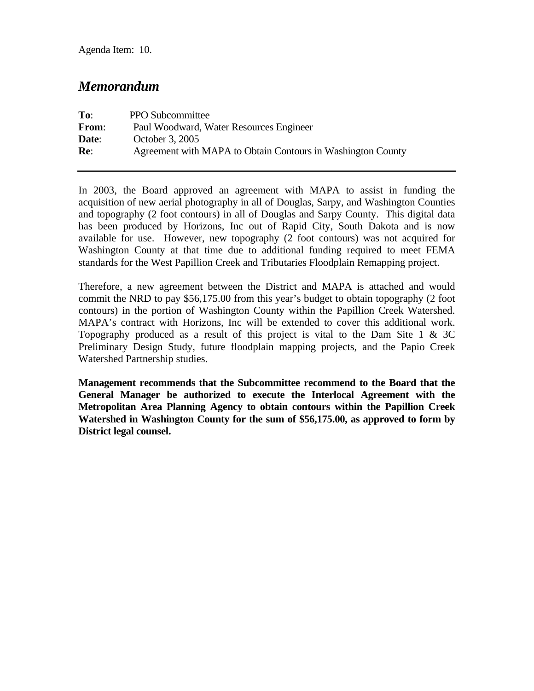Agenda Item: 10.

#### *Memorandum*

| To:   | <b>PPO Subcommittee</b>                                     |
|-------|-------------------------------------------------------------|
| From: | Paul Woodward, Water Resources Engineer                     |
| Date: | October 3, 2005                                             |
| Re:   | Agreement with MAPA to Obtain Contours in Washington County |

In 2003, the Board approved an agreement with MAPA to assist in funding the acquisition of new aerial photography in all of Douglas, Sarpy, and Washington Counties and topography (2 foot contours) in all of Douglas and Sarpy County. This digital data has been produced by Horizons, Inc out of Rapid City, South Dakota and is now available for use. However, new topography (2 foot contours) was not acquired for Washington County at that time due to additional funding required to meet FEMA standards for the West Papillion Creek and Tributaries Floodplain Remapping project.

Therefore, a new agreement between the District and MAPA is attached and would commit the NRD to pay \$56,175.00 from this year's budget to obtain topography (2 foot contours) in the portion of Washington County within the Papillion Creek Watershed. MAPA's contract with Horizons, Inc will be extended to cover this additional work. Topography produced as a result of this project is vital to the Dam Site 1  $\&$  3C Preliminary Design Study, future floodplain mapping projects, and the Papio Creek Watershed Partnership studies.

**Management recommends that the Subcommittee recommend to the Board that the General Manager be authorized to execute the Interlocal Agreement with the Metropolitan Area Planning Agency to obtain contours within the Papillion Creek Watershed in Washington County for the sum of \$56,175.00, as approved to form by District legal counsel.**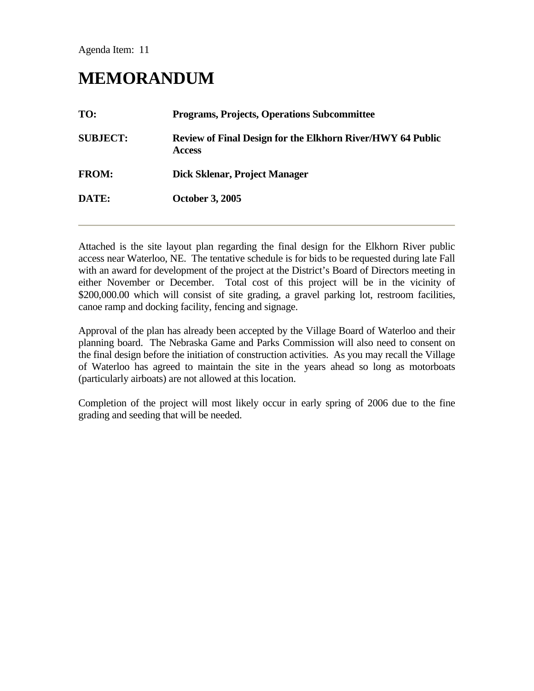Agenda Item: 11

# **MEMORANDUM**

| TO:             | <b>Programs, Projects, Operations Subcommittee</b>                                 |
|-----------------|------------------------------------------------------------------------------------|
| <b>SUBJECT:</b> | <b>Review of Final Design for the Elkhorn River/HWY 64 Public</b><br><b>Access</b> |
| <b>FROM:</b>    | Dick Sklenar, Project Manager                                                      |
| DATE:           | <b>October 3, 2005</b>                                                             |
|                 |                                                                                    |

Attached is the site layout plan regarding the final design for the Elkhorn River public access near Waterloo, NE. The tentative schedule is for bids to be requested during late Fall with an award for development of the project at the District's Board of Directors meeting in either November or December. Total cost of this project will be in the vicinity of \$200,000.00 which will consist of site grading, a gravel parking lot, restroom facilities, canoe ramp and docking facility, fencing and signage.

Approval of the plan has already been accepted by the Village Board of Waterloo and their planning board. The Nebraska Game and Parks Commission will also need to consent on the final design before the initiation of construction activities. As you may recall the Village of Waterloo has agreed to maintain the site in the years ahead so long as motorboats (particularly airboats) are not allowed at this location.

Completion of the project will most likely occur in early spring of 2006 due to the fine grading and seeding that will be needed.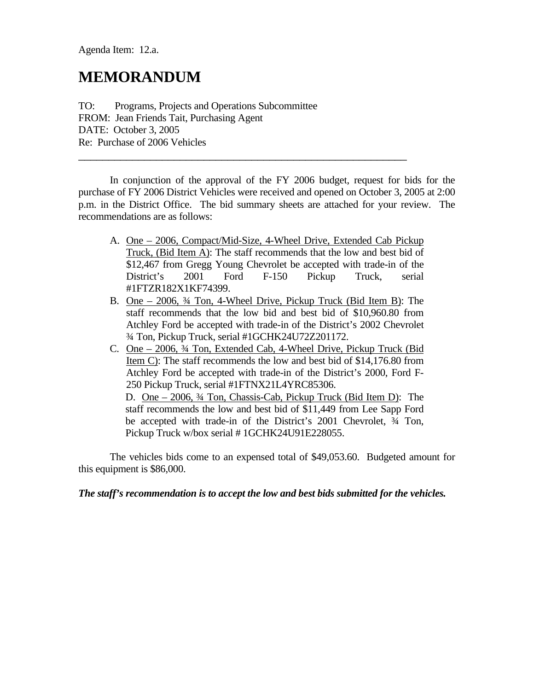Agenda Item: 12.a.

### **MEMORANDUM**

TO: Programs, Projects and Operations Subcommittee FROM: Jean Friends Tait, Purchasing Agent DATE: October 3, 2005 Re: Purchase of 2006 Vehicles

 In conjunction of the approval of the FY 2006 budget, request for bids for the purchase of FY 2006 District Vehicles were received and opened on October 3, 2005 at 2:00 p.m. in the District Office. The bid summary sheets are attached for your review. The recommendations are as follows:

 $\_$  , and the set of the set of the set of the set of the set of the set of the set of the set of the set of the set of the set of the set of the set of the set of the set of the set of the set of the set of the set of th

- A. One 2006, Compact/Mid-Size, 4-Wheel Drive, Extended Cab Pickup Truck, (Bid Item A): The staff recommends that the low and best bid of \$12,467 from Gregg Young Chevrolet be accepted with trade-in of the District's 2001 Ford F-150 Pickup Truck, serial #1FTZR182X1KF74399.
- B. One 2006, ¾ Ton, 4-Wheel Drive, Pickup Truck (Bid Item B): The staff recommends that the low bid and best bid of \$10,960.80 from Atchley Ford be accepted with trade-in of the District's 2002 Chevrolet ¾ Ton, Pickup Truck, serial #1GCHK24U72Z201172.
- C. One 2006, ¾ Ton, Extended Cab, 4-Wheel Drive, Pickup Truck (Bid Item C): The staff recommends the low and best bid of \$14,176.80 from Atchley Ford be accepted with trade-in of the District's 2000, Ford F-250 Pickup Truck, serial #1FTNX21L4YRC85306.

 D. One – 2006, ¾ Ton, Chassis-Cab, Pickup Truck (Bid Item D): The staff recommends the low and best bid of \$11,449 from Lee Sapp Ford be accepted with trade-in of the District's 2001 Chevrolet, ¾ Ton, Pickup Truck w/box serial # 1GCHK24U91E228055.

 The vehicles bids come to an expensed total of \$49,053.60. Budgeted amount for this equipment is \$86,000.

*The staff's recommendation is to accept the low and best bids submitted for the vehicles.*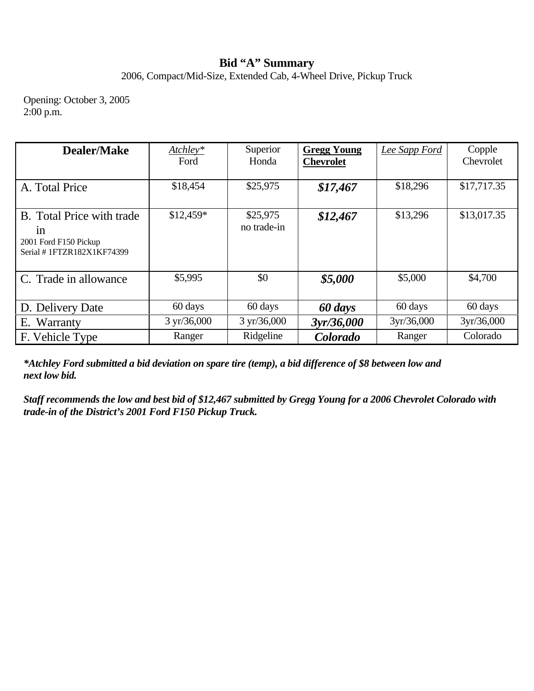## **Bid "A" Summary**

2006, Compact/Mid-Size, Extended Cab, 4-Wheel Drive, Pickup Truck

Opening: October 3, 2005  $2:00 \text{ p.m.}$ 

| <b>Dealer/Make</b>                                                                    | $Atchley*$<br>Ford    | Superior<br>Honda       | <b>Gregg Young</b><br><b>Chevrolet</b> | Lee Sapp Ford | Copple<br>Chevrolet |
|---------------------------------------------------------------------------------------|-----------------------|-------------------------|----------------------------------------|---------------|---------------------|
| A. Total Price                                                                        | \$18,454              | \$25,975                | \$17,467                               | \$18,296      | \$17,717.35         |
| B. Total Price with trade<br>1n<br>2001 Ford F150 Pickup<br>Serial #1FTZR182X1KF74399 | $$12,459*$            | \$25,975<br>no trade-in | \$12,467                               | \$13,296      | \$13,017.35         |
| C. Trade in allowance                                                                 | \$5,995               | \$0                     | \$5,000                                | \$5,000       | \$4,700             |
| D. Delivery Date                                                                      | 60 days               | 60 days                 | 60 days                                | 60 days       | 60 days             |
| E. Warranty                                                                           | $3 \text{ yr}/36,000$ | $3 \text{ yr}/36,000$   | 3yr/36,000                             | 3yr/36,000    | 3yr/36,000          |
| F. Vehicle Type                                                                       | Ranger                | Ridgeline               | Colorado                               | Ranger        | Colorado            |

*\*Atchley Ford submitted a bid deviation on spare tire (temp), a bid difference of \$8 between low and next low bid.* 

*Staff recommends the low and best bid of \$12,467 submitted by Gregg Young for a 2006 Chevrolet Colorado with trade-in of the District's 2001 Ford F150 Pickup Truck.*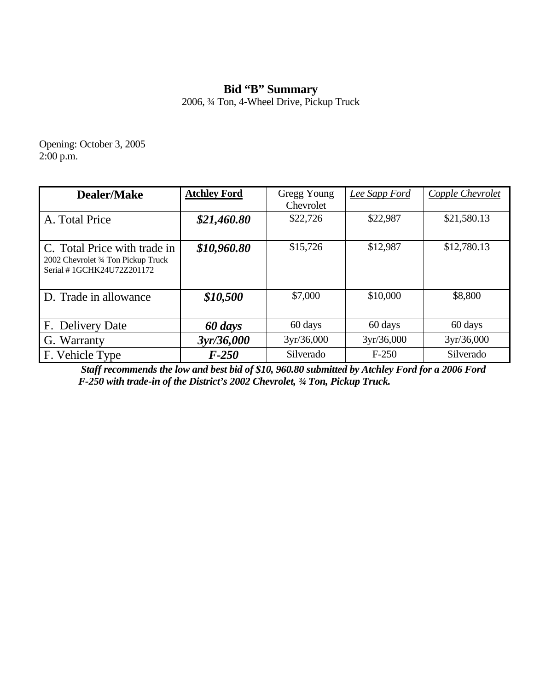# **Bid "B" Summary**

2006, ¾ Ton, 4-Wheel Drive, Pickup Truck

Opening: October 3, 2005 2:00 p.m.

| <b>Dealer/Make</b>                                                                               | <b>Atchley Ford</b> | Gregg Young<br>Chevrolet | Lee Sapp Ford | Copple Chevrolet |
|--------------------------------------------------------------------------------------------------|---------------------|--------------------------|---------------|------------------|
| A. Total Price                                                                                   | \$21,460.80         | \$22,726                 | \$22,987      | \$21,580.13      |
| C. Total Price with trade in<br>2002 Chevrolet 3/4 Ton Pickup Truck<br>Serial #1GCHK24U72Z201172 | \$10,960.80         | \$15,726                 | \$12,987      | \$12,780.13      |
| D. Trade in allowance                                                                            | \$10,500            | \$7,000                  | \$10,000      | \$8,800          |
| F. Delivery Date                                                                                 | 60 days             | 60 days                  | 60 days       | 60 days          |
| G. Warranty                                                                                      | 3yr/36,000          | 3yr/36,000               | 3yr/36,000    | 3yr/36,000       |
| F. Vehicle Type                                                                                  | $F-250$             | Silverado                | $F-250$       | Silverado        |

 *Staff recommends the low and best bid of \$10, 960.80 submitted by Atchley Ford for a 2006 Ford F-250 with trade-in of the District's 2002 Chevrolet, ¾ Ton, Pickup Truck.*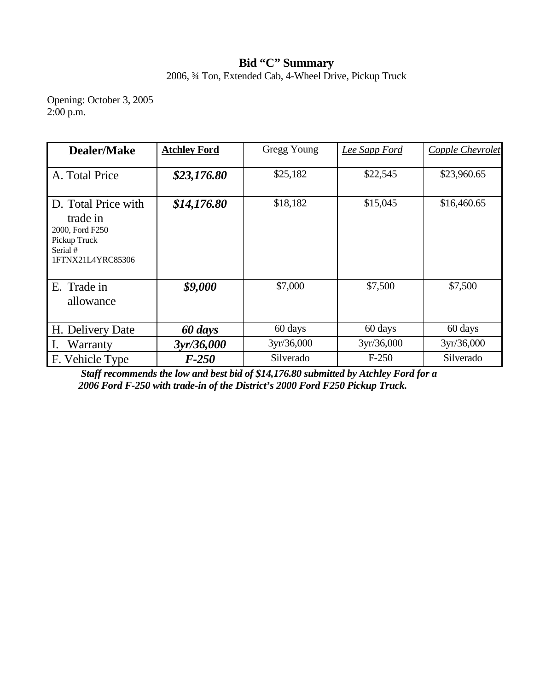## **Bid "C" Summary**

2006, ¾ Ton, Extended Cab, 4-Wheel Drive, Pickup Truck

Opening: October 3, 2005  $2:00 \text{ p.m.}$ 

| <b>Dealer/Make</b>                                                                                  | <b>Atchley Ford</b> | Gregg Young | Lee Sapp Ford | Copple Chevrolet |
|-----------------------------------------------------------------------------------------------------|---------------------|-------------|---------------|------------------|
| A. Total Price                                                                                      | \$23,176.80         | \$25,182    | \$22,545      | \$23,960.65      |
| D. Total Price with<br>trade in<br>2000, Ford F250<br>Pickup Truck<br>Serial #<br>1FTNX21L4YRC85306 | \$14,176.80         | \$18,182    | \$15,045      | \$16,460.65      |
| E. Trade in<br>allowance                                                                            | \$9,000             | \$7,000     | \$7,500       | \$7,500          |
| H. Delivery Date                                                                                    | 60 days             | 60 days     | 60 days       | 60 days          |
| Warranty                                                                                            | 3yr/36,000          | 3yr/36,000  | 3yr/36,000    | 3yr/36,000       |
| F. Vehicle Type                                                                                     | $F-250$             | Silverado   | $F-250$       | Silverado        |

 *Staff recommends the low and best bid of \$14,176.80 submitted by Atchley Ford for a 2006 Ford F-250 with trade-in of the District's 2000 Ford F250 Pickup Truck.*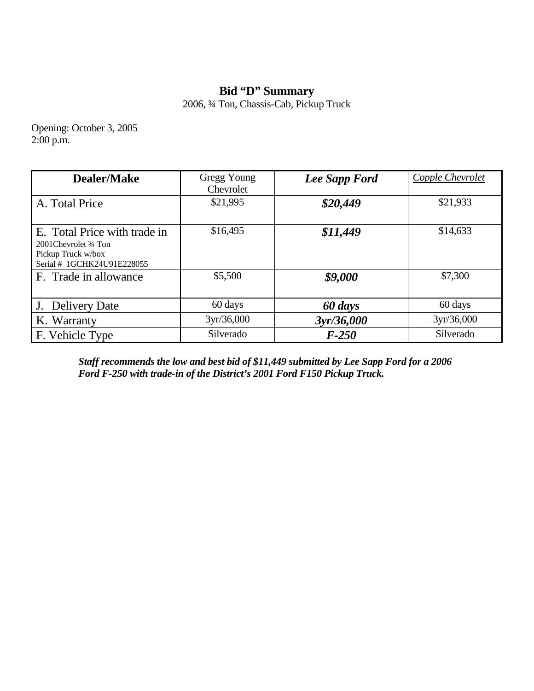### **Bid "D" Summary**

2006, ¾ Ton, Chassis-Cab, Pickup Truck

Opening: October 3, 2005  $2:00 \text{ p.m.}$ 

| <b>Dealer/Make</b>                                                                                         | Gregg Young<br>Chevrolet | Lee Sapp Ford | Copple Chevrolet |
|------------------------------------------------------------------------------------------------------------|--------------------------|---------------|------------------|
| A. Total Price                                                                                             | \$21,995                 | \$20,449      | \$21,933         |
| E. Total Price with trade in<br>2001 Chevrolet 3/4 Ton<br>Pickup Truck w/box<br>Serial # 1GCHK24U91E228055 | \$16,495                 | \$11,449      | \$14,633         |
| F. Trade in allowance                                                                                      | \$5,500                  | \$9,000       | \$7,300          |
| J. Delivery Date                                                                                           | 60 days                  | 60 days       | 60 days          |
| K. Warranty                                                                                                | 3yr/36,000               | 3yr/36,000    | 3yr/36,000       |
| F. Vehicle Type                                                                                            | Silverado                | $F-250$       | Silverado        |

*Staff recommends the low and best bid of \$11,449 submitted by Lee Sapp Ford for a 2006 Ford F-250 with trade-in of the District's 2001 Ford F150 Pickup Truck.*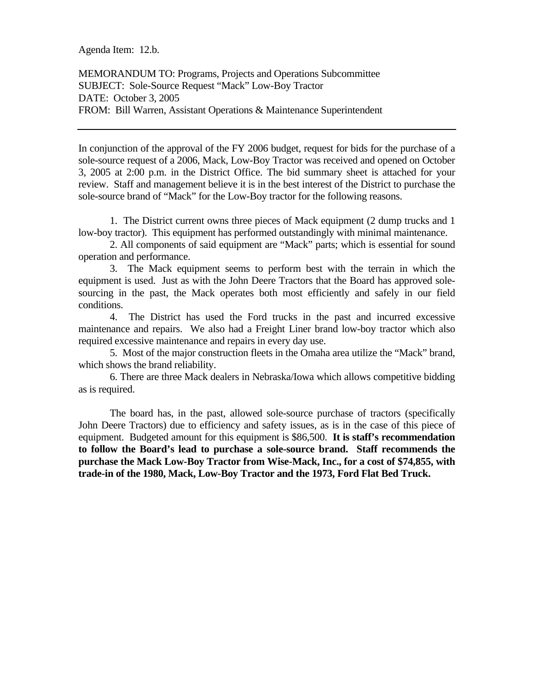Agenda Item: 12.b.

MEMORANDUM TO: Programs, Projects and Operations Subcommittee SUBJECT: Sole-Source Request "Mack" Low-Boy Tractor DATE: October 3, 2005 FROM: Bill Warren, Assistant Operations & Maintenance Superintendent

In conjunction of the approval of the FY 2006 budget, request for bids for the purchase of a sole-source request of a 2006, Mack, Low-Boy Tractor was received and opened on October 3, 2005 at 2:00 p.m. in the District Office. The bid summary sheet is attached for your review. Staff and management believe it is in the best interest of the District to purchase the sole-source brand of "Mack" for the Low-Boy tractor for the following reasons.

 1. The District current owns three pieces of Mack equipment (2 dump trucks and 1 low-boy tractor). This equipment has performed outstandingly with minimal maintenance.

 2. All components of said equipment are "Mack" parts; which is essential for sound operation and performance.

 3. The Mack equipment seems to perform best with the terrain in which the equipment is used. Just as with the John Deere Tractors that the Board has approved solesourcing in the past, the Mack operates both most efficiently and safely in our field conditions.

 4. The District has used the Ford trucks in the past and incurred excessive maintenance and repairs. We also had a Freight Liner brand low-boy tractor which also required excessive maintenance and repairs in every day use.

 5. Most of the major construction fleets in the Omaha area utilize the "Mack" brand, which shows the brand reliability.

 6. There are three Mack dealers in Nebraska/Iowa which allows competitive bidding as is required.

 The board has, in the past, allowed sole-source purchase of tractors (specifically John Deere Tractors) due to efficiency and safety issues, as is in the case of this piece of equipment. Budgeted amount for this equipment is \$86,500. **It is staff's recommendation to follow the Board's lead to purchase a sole-source brand. Staff recommends the purchase the Mack Low-Boy Tractor from Wise-Mack, Inc., for a cost of \$74,855, with trade-in of the 1980, Mack, Low-Boy Tractor and the 1973, Ford Flat Bed Truck.**